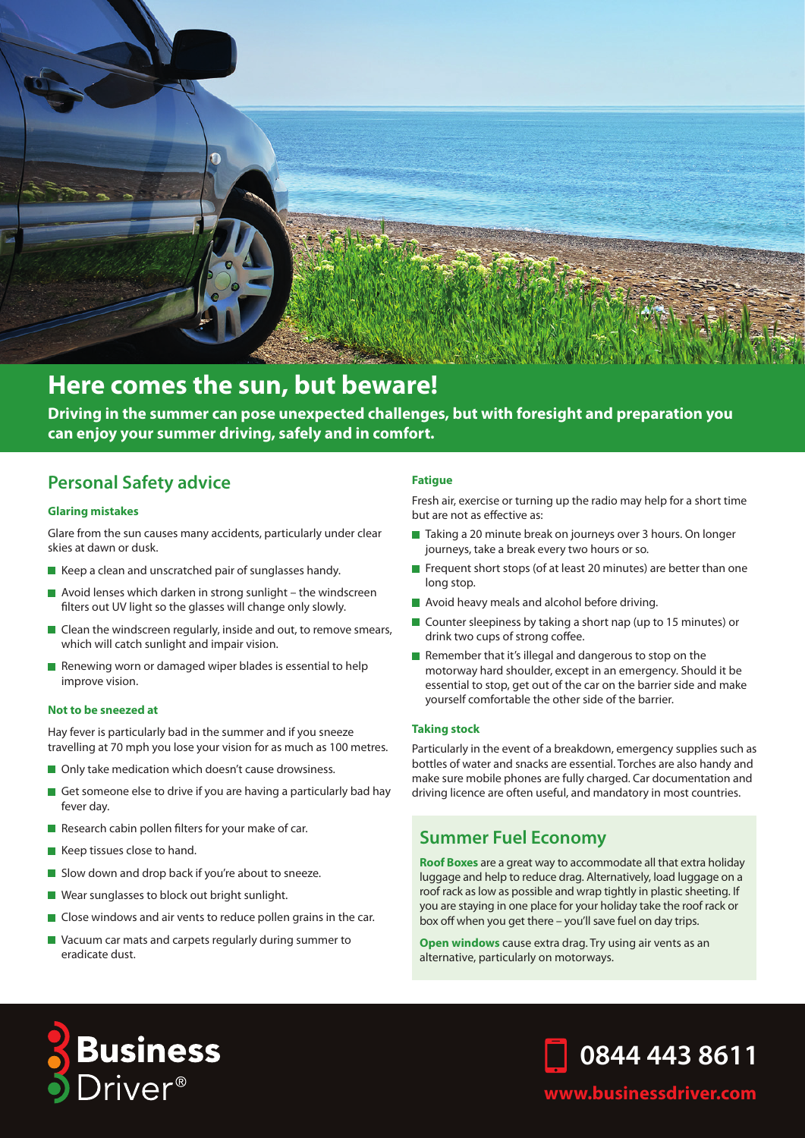

# **Here comes the sun, but beware!**

**Driving in the summer can pose unexpected challenges, but with foresight and preparation you can enjoy your summer driving, safely and in comfort.**

## **Personal Safety advice**

#### **Glaring mistakes**

Glare from the sun causes many accidents, particularly under clear skies at dawn or dusk.

- $\blacksquare$  Keep a clean and unscratched pair of sunglasses handy.
- $\blacksquare$  Avoid lenses which darken in strong sunlight the windscreen filters out UV light so the glasses will change only slowly.
- $\blacksquare$  Clean the windscreen regularly, inside and out, to remove smears, which will catch sunlight and impair vision.
- Renewing worn or damaged wiper blades is essential to help improve vision.

#### **Not to be sneezed at**

Hay fever is particularly bad in the summer and if you sneeze travelling at 70 mph you lose your vision for as much as 100 metres.

- Only take medication which doesn't cause drowsiness.
- Get someone else to drive if you are having a particularly bad hay fever day.
- Research cabin pollen filters for your make of car.
- Keep tissues close to hand.
- Slow down and drop back if you're about to sneeze.
- Wear sunglasses to block out bright sunlight.
- Close windows and air vents to reduce pollen grains in the car.
- Vacuum car mats and carpets regularly during summer to eradicate dust.

#### **Fatigue**

Fresh air, exercise or turning up the radio may help for a short time but are not as effective as:

- Taking a 20 minute break on journeys over 3 hours. On longer journeys, take a break every two hours or so.
- Frequent short stops (of at least 20 minutes) are better than one long stop.
- Avoid heavy meals and alcohol before driving.
- Counter sleepiness by taking a short nap (up to 15 minutes) or drink two cups of strong coffee.
- Remember that it's illegal and dangerous to stop on the motorway hard shoulder, except in an emergency. Should it be essential to stop, get out of the car on the barrier side and make yourself comfortable the other side of the barrier.

#### **Taking stock**

Particularly in the event of a breakdown, emergency supplies such as bottles of water and snacks are essential. Torches are also handy and make sure mobile phones are fully charged. Car documentation and driving licence are often useful, and mandatory in most countries.

### **Summer Fuel Economy**

**Roof Boxes** are a great way to accommodate all that extra holiday luggage and help to reduce drag. Alternatively, load luggage on a roof rack as low as possible and wrap tightly in plastic sheeting. If you are staying in one place for your holiday take the roof rack or box off when you get there – you'll save fuel on day trips.

**Open windows** cause extra drag. Try using air vents as an alternative, particularly on motorways.





### **www.businessdriver.com**